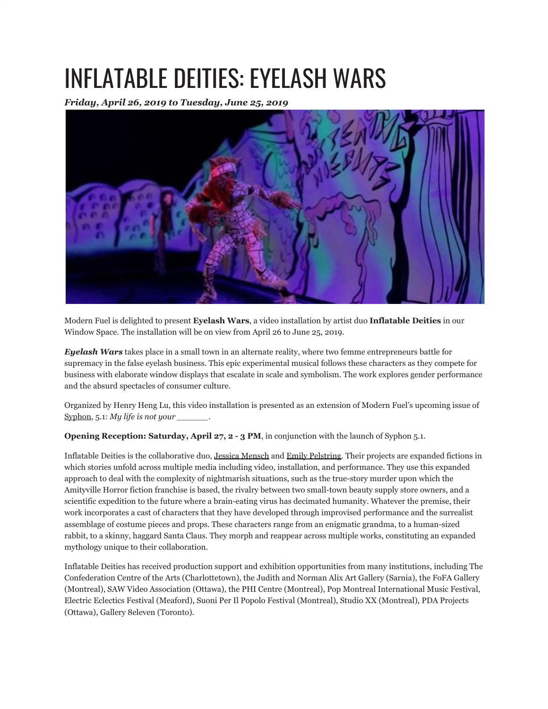## INFLATABLE DEITIES: EYELASH WARS

*Friday, April 26, 2019 to Tuesday, June 25, 2019*



Modern Fuel is delighted to present **Eyelash Wars**, a video installation by artist duo **Inflatable Deities** in our Window Space. The installation will be on view from April 26 to June 25, 2019.

*Eyelash Wars* takes place in a small town in an alternate reality, where two femme entrepreneurs battle for supremacy in the false eyelash business. This epic experimental musical follows these characters as they compete for business with elaborate window displays that escalate in scale and symbolism. The work explores gender performance and the absurd spectacles of consumer culture.

Organized by Henry Heng Lu, this video installation is presented as an extension of Modern Fuel's upcoming issue of Syphon, 5.1: *My life is not your \_\_\_\_\_\_*.

**Opening Reception: Saturday, April 27, 2 - 3 PM, in conjunction with the launch of Syphon 5.1.** 

Inflatable Deities is the collaborative duo, Jessica Mensch and Emily Pelstring. Their projects are expanded fictions in which stories unfold across multiple media including video, installation, and performance. They use this expanded approach to deal with the complexity of nightmarish situations, such as the true-story murder upon which the Amityville Horror fiction franchise is based, the rivalry between two small-town beauty supply store owners, and a scientific expedition to the future where a brain-eating virus has decimated humanity. Whatever the premise, their work incorporates a cast of characters that they have developed through improvised performance and the surrealist assemblage of costume pieces and props. These characters range from an enigmatic grandma, to a human-sized rabbit, to a skinny, haggard Santa Claus. They morph and reappear across multiple works, constituting an expanded mythology unique to their collaboration.

Inflatable Deities has received production support and exhibition opportunities from many institutions, including The Confederation Centre of the Arts (Charlottetown), the Judith and Norman Alix Art Gallery (Sarnia), the FoFA Gallery (Montreal), SAW Video Association (Ottawa), the PHI Centre (Montreal), Pop Montreal International Music Festival, Electric Eclectics Festival (Meaford), Suoni Per Il Popolo Festival (Montreal), Studio XX (Montreal), PDA Projects (Ottawa), Gallery 8eleven (Toronto).